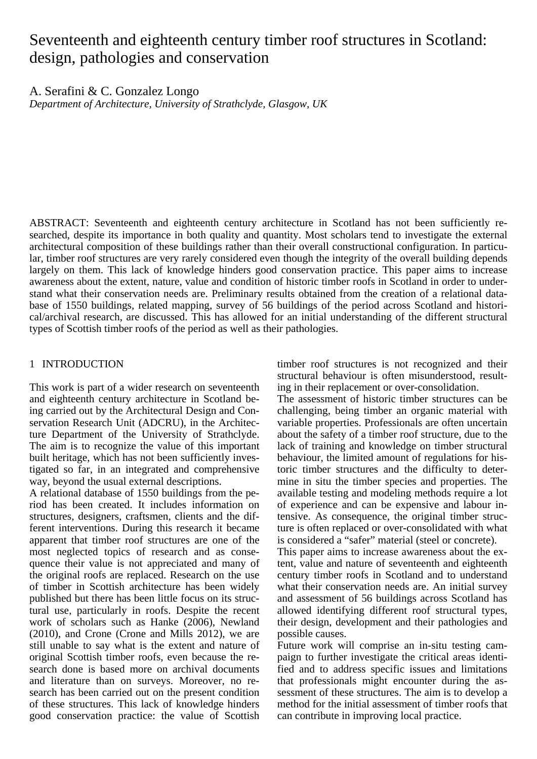# Seventeenth and eighteenth century timber roof structures in Scotland: design, pathologies and conservation

A. Serafini & C. Gonzalez Longo

*Department of Architecture, University of Strathclyde, Glasgow, UK* 

ABSTRACT: Seventeenth and eighteenth century architecture in Scotland has not been sufficiently researched, despite its importance in both quality and quantity. Most scholars tend to investigate the external architectural composition of these buildings rather than their overall constructional configuration. In particular, timber roof structures are very rarely considered even though the integrity of the overall building depends largely on them. This lack of knowledge hinders good conservation practice. This paper aims to increase awareness about the extent, nature, value and condition of historic timber roofs in Scotland in order to understand what their conservation needs are. Preliminary results obtained from the creation of a relational database of 1550 buildings, related mapping, survey of 56 buildings of the period across Scotland and historical/archival research, are discussed. This has allowed for an initial understanding of the different structural types of Scottish timber roofs of the period as well as their pathologies.

# 1 INTRODUCTION

This work is part of a wider research on seventeenth and eighteenth century architecture in Scotland being carried out by the Architectural Design and Conservation Research Unit (ADCRU), in the Architecture Department of the University of Strathclyde. The aim is to recognize the value of this important built heritage, which has not been sufficiently investigated so far, in an integrated and comprehensive way, beyond the usual external descriptions.

A relational database of 1550 buildings from the period has been created. It includes information on structures, designers, craftsmen, clients and the different interventions. During this research it became apparent that timber roof structures are one of the most neglected topics of research and as consequence their value is not appreciated and many of the original roofs are replaced. Research on the use of timber in Scottish architecture has been widely published but there has been little focus on its structural use, particularly in roofs. Despite the recent work of scholars such as Hanke (2006), Newland (2010), and Crone (Crone and Mills 2012), we are still unable to say what is the extent and nature of original Scottish timber roofs, even because the research done is based more on archival documents and literature than on surveys. Moreover, no research has been carried out on the present condition of these structures. This lack of knowledge hinders good conservation practice: the value of Scottish

timber roof structures is not recognized and their structural behaviour is often misunderstood, resulting in their replacement or over-consolidation.

The assessment of historic timber structures can be challenging, being timber an organic material with variable properties. Professionals are often uncertain about the safety of a timber roof structure, due to the lack of training and knowledge on timber structural behaviour, the limited amount of regulations for historic timber structures and the difficulty to determine in situ the timber species and properties. The available testing and modeling methods require a lot of experience and can be expensive and labour intensive. As consequence, the original timber structure is often replaced or over-consolidated with what is considered a "safer" material (steel or concrete).

This paper aims to increase awareness about the extent, value and nature of seventeenth and eighteenth century timber roofs in Scotland and to understand what their conservation needs are. An initial survey and assessment of 56 buildings across Scotland has allowed identifying different roof structural types, their design, development and their pathologies and possible causes.

Future work will comprise an in-situ testing campaign to further investigate the critical areas identified and to address specific issues and limitations that professionals might encounter during the assessment of these structures. The aim is to develop a method for the initial assessment of timber roofs that can contribute in improving local practice.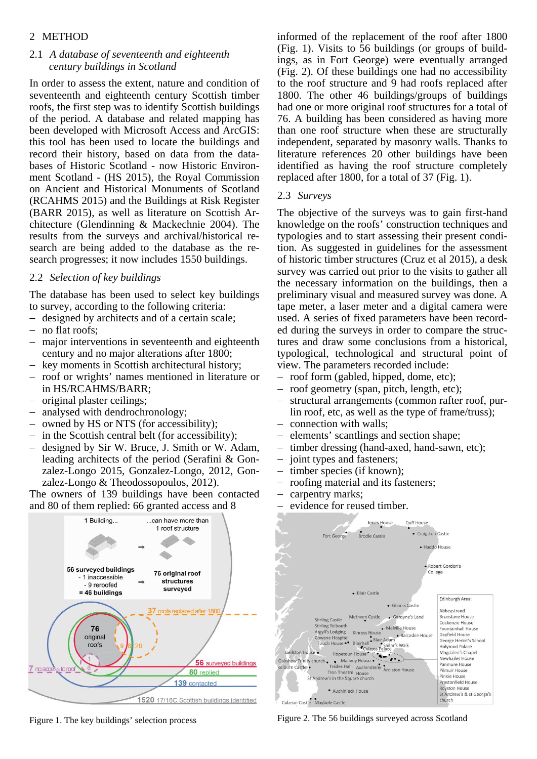# 2 METHOD

# 2.1 *A database of seventeenth and eighteenth century buildings in Scotland*

In order to assess the extent, nature and condition of seventeenth and eighteenth century Scottish timber roofs, the first step was to identify Scottish buildings of the period. A database and related mapping has been developed with Microsoft Access and ArcGIS: this tool has been used to locate the buildings and record their history, based on data from the databases of Historic Scotland - now Historic Environment Scotland - (HS 2015), the Royal Commission on Ancient and Historical Monuments of Scotland (RCAHMS 2015) and the Buildings at Risk Register (BARR 2015), as well as literature on Scottish Architecture (Glendinning & Mackechnie 2004). The results from the surveys and archival/historical research are being added to the database as the research progresses; it now includes 1550 buildings.

# 2.2 *Selection of key buildings*

The database has been used to select key buildings to survey, according to the following criteria:

- designed by architects and of a certain scale;
- no flat roofs;
- major interventions in seventeenth and eighteenth century and no major alterations after 1800;
- key moments in Scottish architectural history;
- roof or wrights' names mentioned in literature or in HS/RCAHMS/BARR;
- original plaster ceilings;
- analysed with dendrochronology;
- owned by HS or NTS (for accessibility);
- $-$  in the Scottish central belt (for accessibility);
- designed by Sir W. Bruce, J. Smith or W. Adam, leading architects of the period (Serafini & Gonzalez-Longo 2015, Gonzalez-Longo, 2012, Gonzalez-Longo & Theodossopoulos, 2012).

The owners of 139 buildings have been contacted and 80 of them replied: 66 granted access and 8



informed of the replacement of the roof after 1800 (Fig. 1). Visits to 56 buildings (or groups of buildings, as in Fort George) were eventually arranged (Fig. 2). Of these buildings one had no accessibility to the roof structure and 9 had roofs replaced after 1800. The other 46 buildings/groups of buildings had one or more original roof structures for a total of 76. A building has been considered as having more than one roof structure when these are structurally independent, separated by masonry walls. Thanks to literature references 20 other buildings have been identified as having the roof structure completely replaced after 1800, for a total of 37 (Fig. 1).

#### 2.3 *Surveys*

The objective of the surveys was to gain first-hand knowledge on the roofs' construction techniques and typologies and to start assessing their present condition. As suggested in guidelines for the assessment of historic timber structures (Cruz et al 2015), a desk survey was carried out prior to the visits to gather all the necessary information on the buildings, then a preliminary visual and measured survey was done. A tape meter, a laser meter and a digital camera were used. A series of fixed parameters have been recorded during the surveys in order to compare the structures and draw some conclusions from a historical, typological, technological and structural point of view. The parameters recorded include:

- roof form (gabled, hipped, dome, etc);
- roof geometry (span, pitch, length, etc);
- structural arrangements (common rafter roof, purlin roof, etc, as well as the type of frame/truss);
- connection with walls;
- elements' scantlings and section shape;
- timber dressing (hand-axed, hand-sawn, etc);
- joint types and fasteners:
- timber species (if known);
- roofing material and its fasteners;
- carpentry marks;
- evidence for reused timber.



Figure 2. The 56 buildings surveyed across Scotland

Figure 1. The key buildings' selection process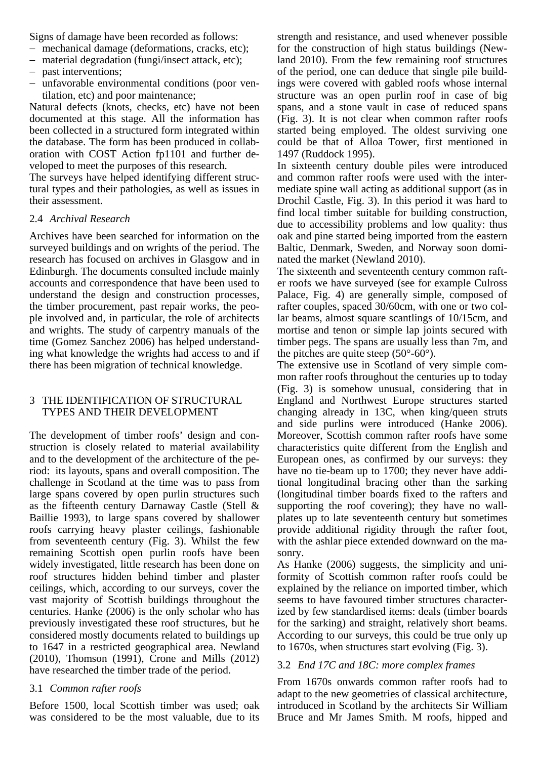Signs of damage have been recorded as follows:

- mechanical damage (deformations, cracks, etc);
- material degradation (fungi/insect attack, etc);
- past interventions;
- unfavorable environmental conditions (poor ventilation, etc) and poor maintenance;

Natural defects (knots, checks, etc) have not been documented at this stage. All the information has been collected in a structured form integrated within the database. The form has been produced in collaboration with COST Action fp1101 and further developed to meet the purposes of this research.

The surveys have helped identifying different structural types and their pathologies, as well as issues in their assessment.

## 2.4 *Archival Research*

Archives have been searched for information on the surveyed buildings and on wrights of the period. The research has focused on archives in Glasgow and in Edinburgh. The documents consulted include mainly accounts and correspondence that have been used to understand the design and construction processes, the timber procurement, past repair works, the people involved and, in particular, the role of architects and wrights. The study of carpentry manuals of the time (Gomez Sanchez 2006) has helped understanding what knowledge the wrights had access to and if there has been migration of technical knowledge.

## 3 THE IDENTIFICATION OF STRUCTURAL TYPES AND THEIR DEVELOPMENT

The development of timber roofs' design and construction is closely related to material availability and to the development of the architecture of the period: its layouts, spans and overall composition. The challenge in Scotland at the time was to pass from large spans covered by open purlin structures such as the fifteenth century Darnaway Castle (Stell & Baillie 1993), to large spans covered by shallower roofs carrying heavy plaster ceilings, fashionable from seventeenth century (Fig. 3). Whilst the few remaining Scottish open purlin roofs have been widely investigated, little research has been done on roof structures hidden behind timber and plaster ceilings, which, according to our surveys, cover the vast majority of Scottish buildings throughout the centuries. Hanke (2006) is the only scholar who has previously investigated these roof structures, but he considered mostly documents related to buildings up to 1647 in a restricted geographical area. Newland (2010), Thomson (1991), Crone and Mills (2012) have researched the timber trade of the period.

## 3.1 *Common rafter roofs*

Before 1500, local Scottish timber was used; oak was considered to be the most valuable, due to its strength and resistance, and used whenever possible for the construction of high status buildings (Newland 2010). From the few remaining roof structures of the period, one can deduce that single pile buildings were covered with gabled roofs whose internal structure was an open purlin roof in case of big spans, and a stone vault in case of reduced spans (Fig. 3). It is not clear when common rafter roofs started being employed. The oldest surviving one could be that of Alloa Tower, first mentioned in 1497 (Ruddock 1995).

In sixteenth century double piles were introduced and common rafter roofs were used with the intermediate spine wall acting as additional support (as in Drochil Castle, Fig. 3). In this period it was hard to find local timber suitable for building construction, due to accessibility problems and low quality: thus oak and pine started being imported from the eastern Baltic, Denmark, Sweden, and Norway soon dominated the market (Newland 2010).

The sixteenth and seventeenth century common rafter roofs we have surveyed (see for example Culross Palace, Fig. 4) are generally simple, composed of rafter couples, spaced 30/60cm, with one or two collar beams, almost square scantlings of 10/15cm, and mortise and tenon or simple lap joints secured with timber pegs. The spans are usually less than 7m, and the pitches are quite steep  $(50^{\circ} - 60^{\circ})$ .

The extensive use in Scotland of very simple common rafter roofs throughout the centuries up to today (Fig. 3) is somehow unusual, considering that in England and Northwest Europe structures started changing already in 13C, when king/queen struts and side purlins were introduced (Hanke 2006). Moreover, Scottish common rafter roofs have some characteristics quite different from the English and European ones, as confirmed by our surveys: they have no tie-beam up to 1700; they never have additional longitudinal bracing other than the sarking (longitudinal timber boards fixed to the rafters and supporting the roof covering); they have no wallplates up to late seventeenth century but sometimes provide additional rigidity through the rafter foot, with the ashlar piece extended downward on the masonry.

As Hanke (2006) suggests, the simplicity and uniformity of Scottish common rafter roofs could be explained by the reliance on imported timber, which seems to have favoured timber structures characterized by few standardised items: deals (timber boards for the sarking) and straight, relatively short beams. According to our surveys, this could be true only up to 1670s, when structures start evolving (Fig. 3).

# 3.2 *End 17C and 18C: more complex frames*

From 1670s onwards common rafter roofs had to adapt to the new geometries of classical architecture, introduced in Scotland by the architects Sir William Bruce and Mr James Smith. M roofs, hipped and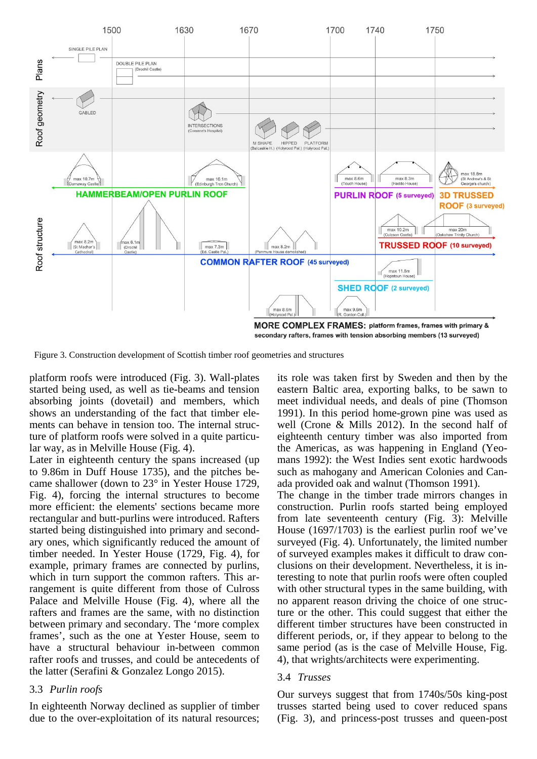

Figure 3. Construction development of Scottish timber roof geometries and structures

platform roofs were introduced (Fig. 3). Wall-plates started being used, as well as tie-beams and tension absorbing joints (dovetail) and members, which shows an understanding of the fact that timber elements can behave in tension too. The internal structure of platform roofs were solved in a quite particular way, as in Melville House (Fig. 4).

Later in eighteenth century the spans increased (up to 9.86m in Duff House 1735), and the pitches became shallower (down to 23° in Yester House 1729, Fig. 4), forcing the internal structures to become more efficient: the elements' sections became more rectangular and butt-purlins were introduced. Rafters started being distinguished into primary and secondary ones, which significantly reduced the amount of timber needed. In Yester House (1729, Fig. 4), for example, primary frames are connected by purlins, which in turn support the common rafters. This arrangement is quite different from those of Culross Palace and Melville House (Fig. 4), where all the rafters and frames are the same, with no distinction between primary and secondary. The 'more complex frames', such as the one at Yester House, seem to have a structural behaviour in-between common rafter roofs and trusses, and could be antecedents of the latter (Serafini & Gonzalez Longo 2015).

#### 3.3 *Purlin roofs*

In eighteenth Norway declined as supplier of timber due to the over-exploitation of its natural resources;

its role was taken first by Sweden and then by the eastern Baltic area, exporting balks, to be sawn to meet individual needs, and deals of pine (Thomson 1991). In this period home-grown pine was used as well (Crone & Mills 2012). In the second half of eighteenth century timber was also imported from the Americas, as was happening in England (Yeomans 1992): the West Indies sent exotic hardwoods such as mahogany and American Colonies and Canada provided oak and walnut (Thomson 1991).

The change in the timber trade mirrors changes in construction. Purlin roofs started being employed from late seventeenth century (Fig. 3): Melville House (1697/1703) is the earliest purlin roof we've surveyed (Fig. 4). Unfortunately, the limited number of surveyed examples makes it difficult to draw conclusions on their development. Nevertheless, it is interesting to note that purlin roofs were often coupled with other structural types in the same building, with no apparent reason driving the choice of one structure or the other. This could suggest that either the different timber structures have been constructed in different periods, or, if they appear to belong to the same period (as is the case of Melville House, Fig. 4), that wrights/architects were experimenting.

#### 3.4 *Trusses*

Our surveys suggest that from 1740s/50s king-post trusses started being used to cover reduced spans (Fig. 3), and princess-post trusses and queen-post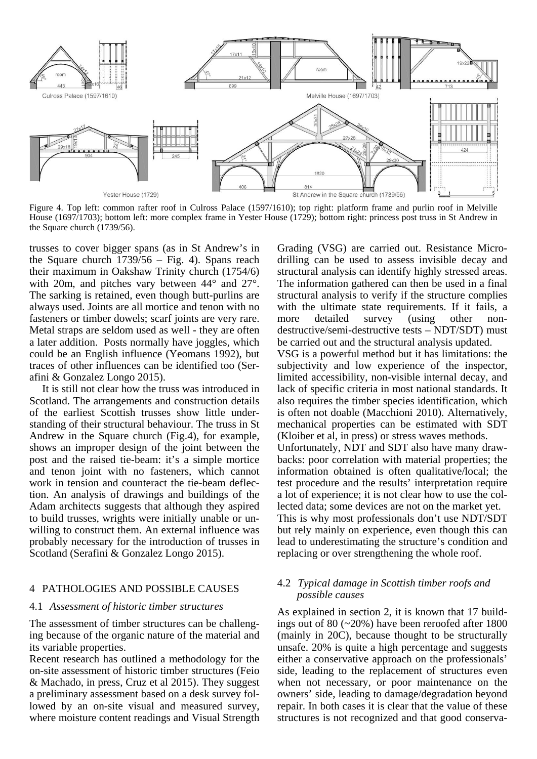

Figure 4. Top left: common rafter roof in Culross Palace (1597/1610); top right: platform frame and purlin roof in Melville House (1697/1703); bottom left: more complex frame in Yester House (1729); bottom right: princess post truss in St Andrew in the Square church (1739/56).

trusses to cover bigger spans (as in St Andrew's in the Square church 1739/56 – Fig. 4). Spans reach their maximum in Oakshaw Trinity church (1754/6) with 20m, and pitches vary between  $44^{\circ}$  and  $27^{\circ}$ . The sarking is retained, even though butt-purlins are always used. Joints are all mortice and tenon with no fasteners or timber dowels; scarf joints are very rare. Metal straps are seldom used as well - they are often a later addition. Posts normally have joggles, which could be an English influence (Yeomans 1992), but traces of other influences can be identified too (Serafini & Gonzalez Longo 2015).

It is still not clear how the truss was introduced in Scotland. The arrangements and construction details of the earliest Scottish trusses show little understanding of their structural behaviour. The truss in St Andrew in the Square church (Fig.4), for example, shows an improper design of the joint between the post and the raised tie-beam: it's a simple mortice and tenon joint with no fasteners, which cannot work in tension and counteract the tie-beam deflection. An analysis of drawings and buildings of the Adam architects suggests that although they aspired to build trusses, wrights were initially unable or unwilling to construct them. An external influence was probably necessary for the introduction of trusses in Scotland (Serafini & Gonzalez Longo 2015).

## 4 PATHOLOGIES AND POSSIBLE CAUSES

#### 4.1 *Assessment of historic timber structures*

The assessment of timber structures can be challenging because of the organic nature of the material and its variable properties.

Recent research has outlined a methodology for the on-site assessment of historic timber structures (Feio & Machado, in press, Cruz et al 2015). They suggest a preliminary assessment based on a desk survey followed by an on-site visual and measured survey, where moisture content readings and Visual Strength

Grading (VSG) are carried out. Resistance Microdrilling can be used to assess invisible decay and structural analysis can identify highly stressed areas. The information gathered can then be used in a final structural analysis to verify if the structure complies with the ultimate state requirements. If it fails, a more detailed survey (using other nondestructive/semi-destructive tests – NDT/SDT) must be carried out and the structural analysis updated.

VSG is a powerful method but it has limitations: the subjectivity and low experience of the inspector, limited accessibility, non-visible internal decay, and lack of specific criteria in most national standards. It also requires the timber species identification, which is often not doable (Macchioni 2010). Alternatively, mechanical properties can be estimated with SDT (Kloiber et al, in press) or stress waves methods.

Unfortunately, NDT and SDT also have many drawbacks: poor correlation with material properties; the information obtained is often qualitative/local; the test procedure and the results' interpretation require a lot of experience; it is not clear how to use the collected data; some devices are not on the market yet. This is why most professionals don't use NDT/SDT but rely mainly on experience, even though this can

lead to underestimating the structure's condition and replacing or over strengthening the whole roof.

## 4.2 *Typical damage in Scottish timber roofs and possible causes*

As explained in section 2, it is known that 17 buildings out of 80 (~20%) have been reroofed after 1800 (mainly in 20C), because thought to be structurally unsafe. 20% is quite a high percentage and suggests either a conservative approach on the professionals' side, leading to the replacement of structures even when not necessary, or poor maintenance on the owners' side, leading to damage/degradation beyond repair. In both cases it is clear that the value of these structures is not recognized and that good conserva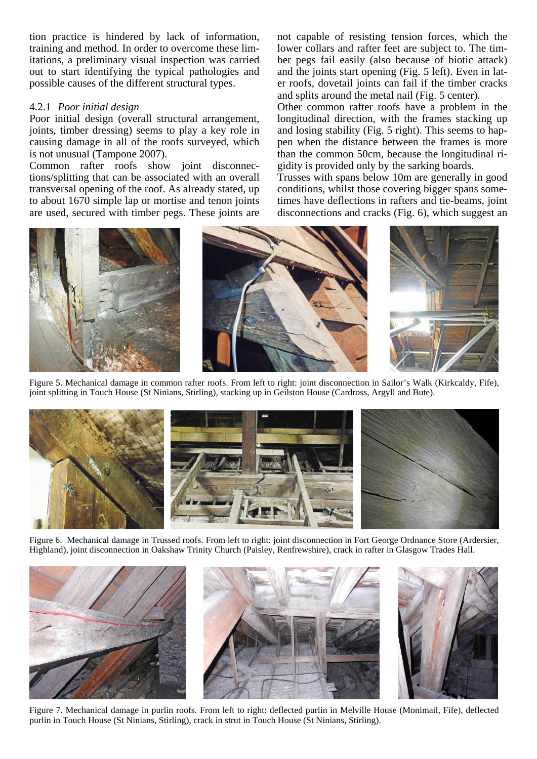tion practice is hindered by lack of information, training and method. In order to overcome these limitations, a preliminary visual inspection was carried out to start identifying the typical pathologies and possible causes of the different structural types.

### 4.2.1 *Poor initial design*

Poor initial design (overall structural arrangement, joints, timber dressing) seems to play a key role in causing damage in all of the roofs surveyed, which is not unusual (Tampone 2007).

Common rafter roofs show joint disconnections/splitting that can be associated with an overall transversal opening of the roof. As already stated, up to about 1670 simple lap or mortise and tenon joints are used, secured with timber pegs. These joints are not capable of resisting tension forces, which the lower collars and rafter feet are subject to. The timber pegs fail easily (also because of biotic attack) and the joints start opening (Fig. 5 left). Even in later roofs, dovetail joints can fail if the timber cracks and splits around the metal nail (Fig. 5 center).

Other common rafter roofs have a problem in the longitudinal direction, with the frames stacking up and losing stability (Fig. 5 right). This seems to happen when the distance between the frames is more than the common 50cm, because the longitudinal rigidity is provided only by the sarking boards.

Trusses with spans below 10m are generally in good conditions, whilst those covering bigger spans sometimes have deflections in rafters and tie-beams, joint disconnections and cracks (Fig. 6), which suggest an



Figure 5. Mechanical damage in common rafter roofs. From left to right: joint disconnection in Sailor's Walk (Kirkcaldy, Fife), joint splitting in Touch House (St Ninians, Stirling), stacking up in Geilston House (Cardross, Argyll and Bute).



Figure 6. Mechanical damage in Trussed roofs. From left to right: joint disconnection in Fort George Ordnance Store (Ardersier, Highland), joint disconnection in Oakshaw Trinity Church (Paisley, Renfrewshire), crack in rafter in Glasgow Trades Hall.



Figure 7. Mechanical damage in purlin roofs. From left to right: deflected purlin in Melville House (Monimail, Fife), deflected purlin in Touch House (St Ninians, Stirling), crack in strut in Touch House (St Ninians, Stirling).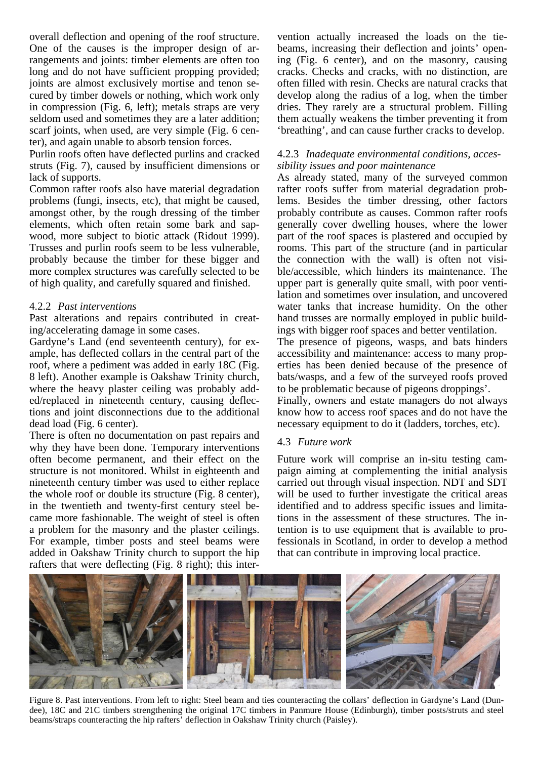overall deflection and opening of the roof structure. One of the causes is the improper design of arrangements and joints: timber elements are often too long and do not have sufficient propping provided; joints are almost exclusively mortise and tenon secured by timber dowels or nothing, which work only in compression (Fig. 6, left); metals straps are very seldom used and sometimes they are a later addition; scarf joints, when used, are very simple (Fig. 6 center), and again unable to absorb tension forces.

Purlin roofs often have deflected purlins and cracked struts (Fig. 7), caused by insufficient dimensions or lack of supports.

Common rafter roofs also have material degradation problems (fungi, insects, etc), that might be caused, amongst other, by the rough dressing of the timber elements, which often retain some bark and sapwood, more subject to biotic attack (Ridout 1999). Trusses and purlin roofs seem to be less vulnerable, probably because the timber for these bigger and more complex structures was carefully selected to be of high quality, and carefully squared and finished.

## 4.2.2 *Past interventions*

Past alterations and repairs contributed in creating/accelerating damage in some cases.

Gardyne's Land (end seventeenth century), for example, has deflected collars in the central part of the roof, where a pediment was added in early 18C (Fig. 8 left). Another example is Oakshaw Trinity church, where the heavy plaster ceiling was probably added/replaced in nineteenth century, causing deflections and joint disconnections due to the additional dead load (Fig. 6 center).

There is often no documentation on past repairs and why they have been done. Temporary interventions often become permanent, and their effect on the structure is not monitored. Whilst in eighteenth and nineteenth century timber was used to either replace the whole roof or double its structure (Fig. 8 center), in the twentieth and twenty-first century steel became more fashionable. The weight of steel is often a problem for the masonry and the plaster ceilings. For example, timber posts and steel beams were added in Oakshaw Trinity church to support the hip rafters that were deflecting (Fig. 8 right); this intervention actually increased the loads on the tiebeams, increasing their deflection and joints' opening (Fig. 6 center), and on the masonry, causing cracks. Checks and cracks, with no distinction, are often filled with resin. Checks are natural cracks that develop along the radius of a log, when the timber dries. They rarely are a structural problem. Filling them actually weakens the timber preventing it from 'breathing', and can cause further cracks to develop.

## 4.2.3 *Inadequate environmental conditions, accessibility issues and poor maintenance*

As already stated, many of the surveyed common rafter roofs suffer from material degradation problems. Besides the timber dressing, other factors probably contribute as causes. Common rafter roofs generally cover dwelling houses, where the lower part of the roof spaces is plastered and occupied by rooms. This part of the structure (and in particular the connection with the wall) is often not visible/accessible, which hinders its maintenance. The upper part is generally quite small, with poor ventilation and sometimes over insulation, and uncovered water tanks that increase humidity. On the other hand trusses are normally employed in public buildings with bigger roof spaces and better ventilation.

The presence of pigeons, wasps, and bats hinders accessibility and maintenance: access to many properties has been denied because of the presence of bats/wasps, and a few of the surveyed roofs proved to be problematic because of pigeons droppings'.

Finally, owners and estate managers do not always know how to access roof spaces and do not have the necessary equipment to do it (ladders, torches, etc).

## 4.3 *Future work*

Future work will comprise an in-situ testing campaign aiming at complementing the initial analysis carried out through visual inspection. NDT and SDT will be used to further investigate the critical areas identified and to address specific issues and limitations in the assessment of these structures. The intention is to use equipment that is available to professionals in Scotland, in order to develop a method that can contribute in improving local practice.



Figure 8. Past interventions. From left to right: Steel beam and ties counteracting the collars' deflection in Gardyne's Land (Dundee), 18C and 21C timbers strengthening the original 17C timbers in Panmure House (Edinburgh), timber posts/struts and steel beams/straps counteracting the hip rafters' deflection in Oakshaw Trinity church (Paisley).